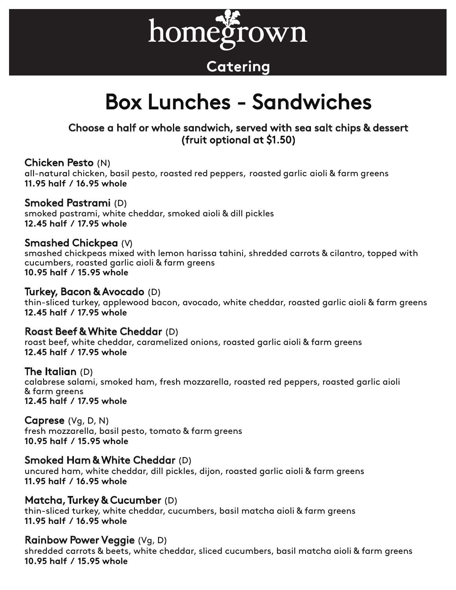

# **Catering**

# Box Lunches - Sandwiches

# Choose a half or whole sandwich, served with sea salt chips & dessert (fruit optional at \$1.50)

### Chicken Pesto (N)

all-natural chicken, basil pesto, roasted red peppers, roasted garlic aioli & farm greens **11.95 half / 16.95 whole** 

# Smoked Pastrami (D)

smoked pastrami, white cheddar, smoked aioli & dill pickles **12.45 half / 17.95 whole** 

# Smashed Chickpea (V)

smashed chickpeas mixed with lemon harissa tahini, shredded carrots & cilantro, topped with cucumbers, roasted garlic aioli & farm greens **10.95 half / 15.95 whole** 

#### Turkey, Bacon & Avocado (D)

thin-sliced turkey, applewood bacon, avocado, white cheddar, roasted garlic aioli & farm greens **12.45 half / 17.95 whole** 

### Roast Beef & White Cheddar (D)

roast beef, white cheddar, caramelized onions, roasted garlic aioli & farm greens **12.45 half / 17.95 whole**

### The Italian (D)

calabrese salami, smoked ham, fresh mozzarella, roasted red peppers, roasted garlic aioli & farm greens **12.45 half / 17.95 whole**

Caprese (Vg, D, N) fresh mozzarella, basil pesto, tomato & farm greens **10.95 half / 15.95 whole**

# Smoked Ham & White Cheddar (D)

uncured ham, white cheddar, dill pickles, dijon, roasted garlic aioli & farm greens **11.95 half / 16.95 whole**

# Matcha, Turkey & Cucumber (D)

thin-sliced turkey, white cheddar, cucumbers, basil matcha aioli & farm greens **11.95 half / 16.95 whole**

# Rainbow Power Veggie (Vg, D)

shredded carrots & beets, white cheddar, sliced cucumbers, basil matcha aioli & farm greens **10.95 half / 15.95 whole**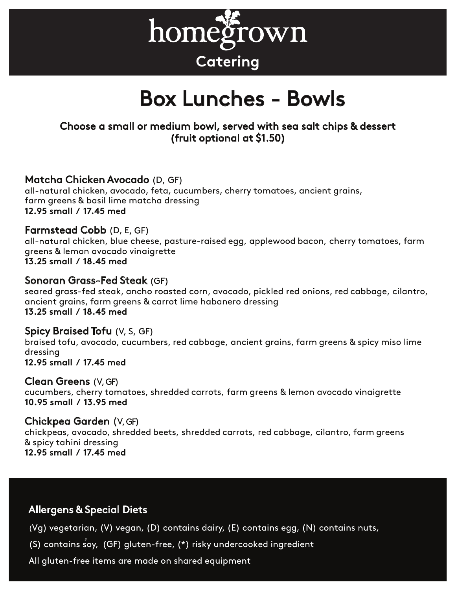

# Box Lunches - Bowls

# Choose a small or medium bowl, served with sea salt chips & dessert (fruit optional at \$1.50)

# Matcha Chicken Avocado (D, GF)

all-natural chicken, avocado, feta, cucumbers, cherry tomatoes, ancient grains, farm greens & basil lime matcha dressing **12.95 small / 17.45 med** 

# **Farmstead Cobb** (D, E, GF)

all-natural chicken, blue cheese, pasture-raised egg, applewood bacon, cherry tomatoes, farm greens & lemon avocado vinaigrette **13.25 small / 18.45 med** 

#### Sonoran Grass-Fed Steak

seared grass-fed steak, ancho roasted corn, avocado, pickled red onions, red cabbage, cilantro, ancient grains, farm greens & carrot lime habanero dressing **13.25 small / 18.45 med** 

#### **Spicy Braised Tofu** (V, S, GF)

braised tofu, avocado, cucumbers, red cabbage, ancient grains, farm greens & spicy miso lime dressing

**12.95 small / 17.45 med** 

#### Clean Greens  $(V, GF)$

cucumbers, cherry tomatoes, shredded carrots, farm greens & lemon avocado vinaigrette **10.95 small / 13.95 med**

#### Chickpea Garden (V, GF)

chickpeas, avocado, shredded beets, shredded carrots, red cabbage, cilantro, farm greens & spicy tahini dressing **12.95 small / 17.45 med**

# Allergens & Special Diets

(Vg) vegetarian, (V) vegan, (D) contains dairy, (E) contains egg, (N) contains nuts,

(S) contains soy, (GF) gluten-free, (\*) risky undercooked ingredient

All gluten-free items are made on shared equipment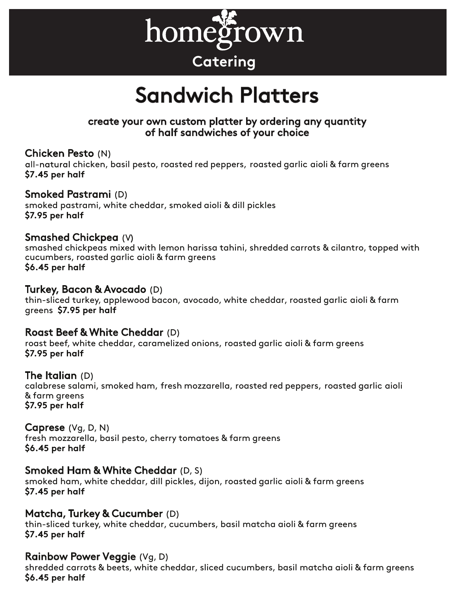

# Sandwich Platters

# create your own custom platter by ordering any quantity of half sandwiches of your choice

# Chicken Pesto (N)

all-natural chicken, basil pesto, roasted red peppers, roasted garlic aioli & farm greens **\$7.45 per half** 

# Smoked Pastrami (D)

smoked pastrami, white cheddar, smoked aioli & dill pickles **\$7.95 per half**

# Smashed Chickpea (V

smashed chickpeas mixed with lemon harissa tahini, shredded carrots & cilantro, topped with cucumbers, roasted garlic aioli & farm greens **\$6.45 per half**

### Turkey, Bacon & Avocado (D)

thin-sliced turkey, applewood bacon, avocado, white cheddar, roasted garlic aioli & farm greens **\$7.95 per half**

### Roast Beef & White Cheddar (D)

roast beef, white cheddar, caramelized onions, roasted garlic aioli & farm greens **\$7.95 per half** 

### The Italian (D)

calabrese salami, smoked ham, fresh mozzarella, roasted red peppers, roasted garlic aioli & farm greens **\$7.95 per half**

### Caprese (Vg, D, N)

fresh mozzarella, basil pesto, cherry tomatoes & farm greens **\$6.45 per half**

### Smoked Ham & White Cheddar (D, S)

smoked ham, white cheddar, dill pickles, dijon, roasted garlic aioli & farm greens **\$7.45 per half**

# Matcha, Turkey & Cucumber (D)

thin-sliced turkey, white cheddar, cucumbers, basil matcha aioli & farm greens **\$7.45 per half**

# Rainbow Power Veggie (Vg, D)

shredded carrots & beets, white cheddar, sliced cucumbers, basil matcha aioli & farm greens **\$6.45 per half**